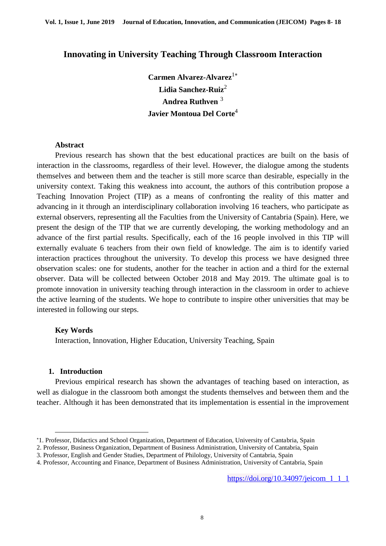# **Innovating in University Teaching Through Classroom Interaction**

Carmen Alvarez-Alvarez<sup>1\*</sup> **Lidia Sanchez-Ruiz**<sup>2</sup> **Andrea Ruthven** <sup>3</sup> **Javier Montoua Del Corte**<sup>4</sup>

### **Abstract**

Previous research has shown that the best educational practices are built on the basis of interaction in the classrooms, regardless of their level. However, the dialogue among the students themselves and between them and the teacher is still more scarce than desirable, especially in the university context. Taking this weakness into account, the authors of this contribution propose a Teaching Innovation Project (TIP) as a means of confronting the reality of this matter and advancing in it through an interdisciplinary collaboration involving 16 teachers, who participate as external observers, representing all the Faculties from the University of Cantabria (Spain). Here, we present the design of the TIP that we are currently developing, the working methodology and an advance of the first partial results. Specifically, each of the 16 people involved in this TIP will externally evaluate 6 teachers from their own field of knowledge. The aim is to identify varied interaction practices throughout the university. To develop this process we have designed three observation scales: one for students, another for the teacher in action and a third for the external observer. Data will be collected between October 2018 and May 2019. The ultimate goal is to promote innovation in university teaching through interaction in the classroom in order to achieve the active learning of the students. We hope to contribute to inspire other universities that may be interested in following our steps.

#### **Key Words**

Interaction, Innovation, Higher Education, University Teaching, Spain

#### **1. Introduction**

 $\overline{a}$ 

Previous empirical research has shown the advantages of teaching based on interaction, as well as dialogue in the classroom both amongst the students themselves and between them and the teacher. Although it has been demonstrated that its implementation is essential in the improvement

2. Professor, Business Organization, Department of Business Administration, University of Cantabria, Spain

<sup>1.</sup> Professor, Didactics and School Organization, Department of Education, University of Cantabria, Spain

<sup>3.</sup> Professor, English and Gender Studies, Department of Philology, University of Cantabria, Spain

<sup>4.</sup> Professor, Accounting and Finance, Department of Business Administration, University of Cantabria, Spain

[https://doi.org/10.34097/jeicom\\_1\\_1\\_1](https://doi.org/10.34097/jeicom_1_1_1)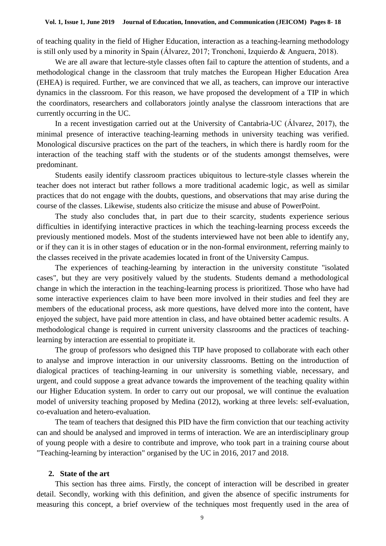of teaching quality in the field of Higher Education, interaction as a teaching-learning methodology is still only used by a minority in Spain (Álvarez, 2017; Tronchoni, Izquierdo & Anguera, 2018).

We are all aware that lecture-style classes often fail to capture the attention of students, and a methodological change in the classroom that truly matches the European Higher Education Area (EHEA) is required. Further, we are convinced that we all, as teachers, can improve our interactive dynamics in the classroom. For this reason, we have proposed the development of a TIP in which the coordinators, researchers and collaborators jointly analyse the classroom interactions that are currently occurring in the UC.

In a recent investigation carried out at the University of Cantabria-UC (Álvarez, 2017), the minimal presence of interactive teaching-learning methods in university teaching was verified. Monological discursive practices on the part of the teachers, in which there is hardly room for the interaction of the teaching staff with the students or of the students amongst themselves, were predominant.

Students easily identify classroom practices ubiquitous to lecture-style classes wherein the teacher does not interact but rather follows a more traditional academic logic, as well as similar practices that do not engage with the doubts, questions, and observations that may arise during the course of the classes. Likewise, students also criticize the misuse and abuse of PowerPoint.

The study also concludes that, in part due to their scarcity, students experience serious difficulties in identifying interactive practices in which the teaching-learning process exceeds the previously mentioned models. Most of the students interviewed have not been able to identify any, or if they can it is in other stages of education or in the non-formal environment, referring mainly to the classes received in the private academies located in front of the University Campus.

The experiences of teaching-learning by interaction in the university constitute "isolated cases", but they are very positively valued by the students. Students demand a methodological change in which the interaction in the teaching-learning process is prioritized. Those who have had some interactive experiences claim to have been more involved in their studies and feel they are members of the educational process, ask more questions, have delved more into the content, have enjoyed the subject, have paid more attention in class, and have obtained better academic results. A methodological change is required in current university classrooms and the practices of teachinglearning by interaction are essential to propitiate it.

The group of professors who designed this TIP have proposed to collaborate with each other to analyse and improve interaction in our university classrooms. Betting on the introduction of dialogical practices of teaching-learning in our university is something viable, necessary, and urgent, and could suppose a great advance towards the improvement of the teaching quality within our Higher Education system. In order to carry out our proposal, we will continue the evaluation model of university teaching proposed by Medina (2012), working at three levels: self-evaluation, co-evaluation and hetero-evaluation.

The team of teachers that designed this PID have the firm conviction that our teaching activity can and should be analysed and improved in terms of interaction. We are an interdisciplinary group of young people with a desire to contribute and improve, who took part in a training course about "Teaching-learning by interaction" organised by the UC in 2016, 2017 and 2018.

#### **2. State of the art**

This section has three aims. Firstly, the concept of interaction will be described in greater detail. Secondly, working with this definition, and given the absence of specific instruments for measuring this concept, a brief overview of the techniques most frequently used in the area of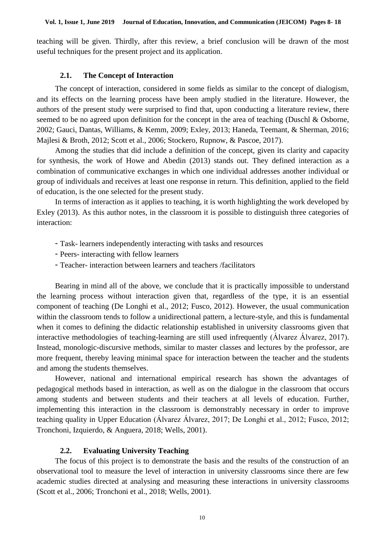teaching will be given. Thirdly, after this review, a brief conclusion will be drawn of the most useful techniques for the present project and its application.

### **2.1. The Concept of Interaction**

The concept of interaction, considered in some fields as similar to the concept of dialogism, and its effects on the learning process have been amply studied in the literature. However, the authors of the present study were surprised to find that, upon conducting a literature review, there seemed to be no agreed upon definition for the concept in the area of teaching (Duschl & Osborne, 2002; Gauci, Dantas, Williams, & Kemm, 2009; Exley, 2013; Haneda, Teemant, & Sherman, 2016; Majlesi & Broth, 2012; Scott et al., 2006; Stockero, Rupnow, & Pascoe, 2017).

Among the studies that did include a definition of the concept, given its clarity and capacity for synthesis, the work of Howe and Abedin (2013) stands out. They defined interaction as a combination of communicative exchanges in which one individual addresses another individual or group of individuals and receives at least one response in return. This definition, applied to the field of education, is the one selected for the present study.

In terms of interaction as it applies to teaching, it is worth highlighting the work developed by Exley (2013). As this author notes, in the classroom it is possible to distinguish three categories of interaction:

- Task- learners independently interacting with tasks and resources
- Peers- interacting with fellow learners
- Teacher- interaction between learners and teachers /facilitators

Bearing in mind all of the above, we conclude that it is practically impossible to understand the learning process without interaction given that, regardless of the type, it is an essential component of teaching (De Longhi et al., 2012; Fusco, 2012). However, the usual communication within the classroom tends to follow a unidirectional pattern, a lecture-style, and this is fundamental when it comes to defining the didactic relationship established in university classrooms given that interactive methodologies of teaching-learning are still used infrequently (Álvarez Álvarez, 2017). Instead, monologic-discursive methods, similar to master classes and lectures by the professor, are more frequent, thereby leaving minimal space for interaction between the teacher and the students and among the students themselves.

However, national and international empirical research has shown the advantages of pedagogical methods based in interaction, as well as on the dialogue in the classroom that occurs among students and between students and their teachers at all levels of education. Further, implementing this interaction in the classroom is demonstrably necessary in order to improve teaching quality in Upper Education (Álvarez Álvarez, 2017; De Longhi et al., 2012; Fusco, 2012; Tronchoni, Izquierdo, & Anguera, 2018; Wells, 2001).

# **2.2. Evaluating University Teaching**

The focus of this project is to demonstrate the basis and the results of the construction of an observational tool to measure the level of interaction in university classrooms since there are few academic studies directed at analysing and measuring these interactions in university classrooms (Scott et al., 2006; Tronchoni et al., 2018; Wells, 2001).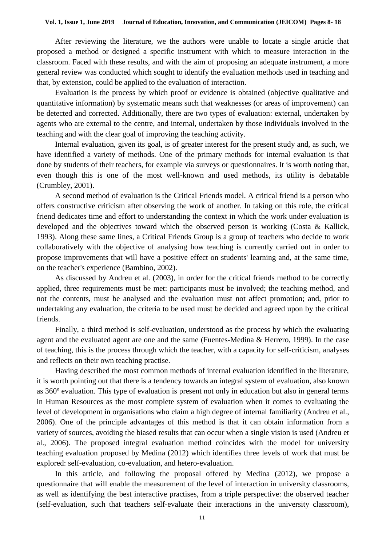After reviewing the literature, we the authors were unable to locate a single article that proposed a method or designed a specific instrument with which to measure interaction in the classroom. Faced with these results, and with the aim of proposing an adequate instrument, a more general review was conducted which sought to identify the evaluation methods used in teaching and that, by extension, could be applied to the evaluation of interaction.

Evaluation is the process by which proof or evidence is obtained (objective qualitative and quantitative information) by systematic means such that weaknesses (or areas of improvement) can be detected and corrected. Additionally, there are two types of evaluation: external, undertaken by agents who are external to the centre, and internal, undertaken by those individuals involved in the teaching and with the clear goal of improving the teaching activity.

Internal evaluation, given its goal, is of greater interest for the present study and, as such, we have identified a variety of methods. One of the primary methods for internal evaluation is that done by students of their teachers, for example via surveys or questionnaires. It is worth noting that, even though this is one of the most well-known and used methods, its utility is debatable (Crumbley, 2001).

A second method of evaluation is the Critical Friends model. A critical friend is a person who offers constructive criticism after observing the work of another. In taking on this role, the critical friend dedicates time and effort to understanding the context in which the work under evaluation is developed and the objectives toward which the observed person is working (Costa & Kallick, 1993). Along these same lines, a Critical Friends Group is a group of teachers who decide to work collaboratively with the objective of analysing how teaching is currently carried out in order to propose improvements that will have a positive effect on students' learning and, at the same time, on the teacher's experience (Bambino, 2002).

As discussed by Andreu et al. (2003), in order for the critical friends method to be correctly applied, three requirements must be met: participants must be involved; the teaching method, and not the contents, must be analysed and the evaluation must not affect promotion; and, prior to undertaking any evaluation, the criteria to be used must be decided and agreed upon by the critical friends.

Finally, a third method is self-evaluation, understood as the process by which the evaluating agent and the evaluated agent are one and the same (Fuentes-Medina & Herrero, 1999). In the case of teaching, this is the process through which the teacher, with a capacity for self-criticism, analyses and reflects on their own teaching practise.

Having described the most common methods of internal evaluation identified in the literature, it is worth pointing out that there is a tendency towards an integral system of evaluation, also known as 360º evaluation. This type of evaluation is present not only in education but also in general terms in Human Resources as the most complete system of evaluation when it comes to evaluating the level of development in organisations who claim a high degree of internal familiarity (Andreu et al., 2006). One of the principle advantages of this method is that it can obtain information from a variety of sources, avoiding the biased results that can occur when a single vision is used (Andreu et al., 2006). The proposed integral evaluation method coincides with the model for university teaching evaluation proposed by Medina (2012) which identifies three levels of work that must be explored: self-evaluation, co-evaluation, and hetero-evaluation.

In this article, and following the proposal offered by Medina (2012), we propose a questionnaire that will enable the measurement of the level of interaction in university classrooms, as well as identifying the best interactive practises, from a triple perspective: the observed teacher (self-evaluation, such that teachers self-evaluate their interactions in the university classroom),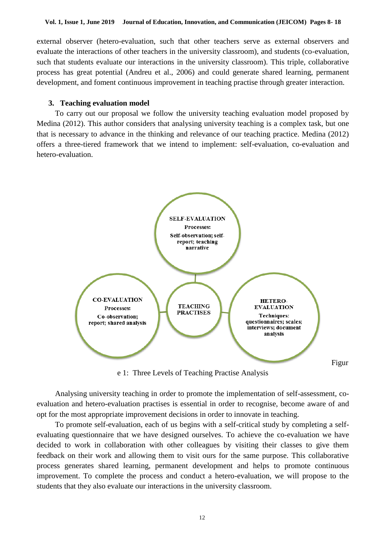external observer (hetero-evaluation, such that other teachers serve as external observers and evaluate the interactions of other teachers in the university classroom), and students (co-evaluation, such that students evaluate our interactions in the university classroom). This triple, collaborative process has great potential (Andreu et al., 2006) and could generate shared learning, permanent development, and foment continuous improvement in teaching practise through greater interaction.

### **3. Teaching evaluation model**

To carry out our proposal we follow the university teaching evaluation model proposed by Medina (2012). This author considers that analysing university teaching is a complex task, but one that is necessary to advance in the thinking and relevance of our teaching practice. Medina (2012) offers a three-tiered framework that we intend to implement: self-evaluation, co-evaluation and hetero-evaluation.



e 1: Three Levels of Teaching Practise Analysis

Analysing university teaching in order to promote the implementation of self-assessment, coevaluation and hetero-evaluation practises is essential in order to recognise, become aware of and opt for the most appropriate improvement decisions in order to innovate in teaching.

To promote self-evaluation, each of us begins with a self-critical study by completing a selfevaluating questionnaire that we have designed ourselves. To achieve the co-evaluation we have decided to work in collaboration with other colleagues by visiting their classes to give them feedback on their work and allowing them to visit ours for the same purpose. This collaborative process generates shared learning, permanent development and helps to promote continuous improvement. To complete the process and conduct a hetero-evaluation, we will propose to the students that they also evaluate our interactions in the university classroom.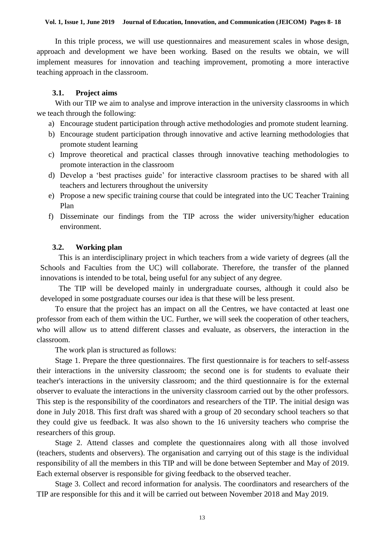In this triple process, we will use questionnaires and measurement scales in whose design, approach and development we have been working. Based on the results we obtain, we will implement measures for innovation and teaching improvement, promoting a more interactive teaching approach in the classroom.

### **3.1. Project aims**

With our TIP we aim to analyse and improve interaction in the university classrooms in which we teach through the following:

- a) Encourage student participation through active methodologies and promote student learning.
- b) Encourage student participation through innovative and active learning methodologies that promote student learning
- c) Improve theoretical and practical classes through innovative teaching methodologies to promote interaction in the classroom
- d) Develop a 'best practises guide' for interactive classroom practises to be shared with all teachers and lecturers throughout the university
- e) Propose a new specific training course that could be integrated into the UC Teacher Training Plan
- f) Disseminate our findings from the TIP across the wider university/higher education environment.

### **3.2. Working plan**

This is an interdisciplinary project in which teachers from a wide variety of degrees (all the Schools and Faculties from the UC) will collaborate. Therefore, the transfer of the planned innovations is intended to be total, being useful for any subject of any degree.

The TIP will be developed mainly in undergraduate courses, although it could also be developed in some postgraduate courses our idea is that these will be less present.

To ensure that the project has an impact on all the Centres, we have contacted at least one professor from each of them within the UC. Further, we will seek the cooperation of other teachers, who will allow us to attend different classes and evaluate, as observers, the interaction in the classroom.

The work plan is structured as follows:

Stage 1. Prepare the three questionnaires. The first questionnaire is for teachers to self-assess their interactions in the university classroom; the second one is for students to evaluate their teacher's interactions in the university classroom; and the third questionnaire is for the external observer to evaluate the interactions in the university classroom carried out by the other professors. This step is the responsibility of the coordinators and researchers of the TIP. The initial design was done in July 2018. This first draft was shared with a group of 20 secondary school teachers so that they could give us feedback. It was also shown to the 16 university teachers who comprise the researchers of this group.

Stage 2. Attend classes and complete the questionnaires along with all those involved (teachers, students and observers). The organisation and carrying out of this stage is the individual responsibility of all the members in this TIP and will be done between September and May of 2019. Each external observer is responsible for giving feedback to the observed teacher.

Stage 3. Collect and record information for analysis. The coordinators and researchers of the TIP are responsible for this and it will be carried out between November 2018 and May 2019.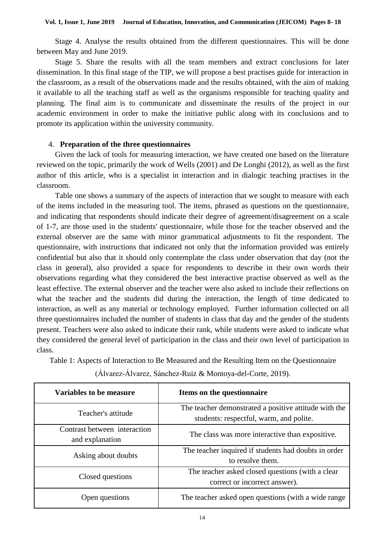Stage 4. Analyse the results obtained from the different questionnaires. This will be done between May and June 2019.

Stage 5. Share the results with all the team members and extract conclusions for later dissemination. In this final stage of the TIP, we will propose a best practises guide for interaction in the classroom, as a result of the observations made and the results obtained, with the aim of making it available to all the teaching staff as well as the organisms responsible for teaching quality and planning. The final aim is to communicate and disseminate the results of the project in our academic environment in order to make the initiative public along with its conclusions and to promote its application within the university community.

### 4. **Preparation of the three questionnaires**

Given the lack of tools for measuring interaction, we have created one based on the literature reviewed on the topic, primarily the work of Wells (2001) and De Longhi (2012), as well as the first author of this article, who is a specialist in interaction and in dialogic teaching practises in the classroom.

Table one shows a summary of the aspects of interaction that we sought to measure with each of the items included in the measuring tool. The items, phrased as questions on the questionnaire, and indicating that respondents should indicate their degree of agreement/disagreement on a scale of 1-7, are those used in the students' questionnaire, while those for the teacher observed and the external observer are the same with minor grammatical adjustments to fit the respondent. The questionnaire, with instructions that indicated not only that the information provided was entirely confidential but also that it should only contemplate the class under observation that day (not the class in general), also provided a space for respondents to describe in their own words their observations regarding what they considered the best interactive practise observed as well as the least effective. The external observer and the teacher were also asked to include their reflections on what the teacher and the students did during the interaction, the length of time dedicated to interaction, as well as any material or technology employed. Further information collected on all three questionnaires included the number of students in class that day and the gender of the students present. Teachers were also asked to indicate their rank, while students were asked to indicate what they considered the general level of participation in the class and their own level of participation in class.

Table 1: Aspects of Interaction to Be Measured and the Resulting Item on the Questionnaire

| Variables to be measure                         | Items on the questionnaire                                                                       |
|-------------------------------------------------|--------------------------------------------------------------------------------------------------|
| Teacher's attitude                              | The teacher demonstrated a positive attitude with the<br>students: respectful, warm, and polite. |
| Contrast between interaction<br>and explanation | The class was more interactive than expositive.                                                  |
| Asking about doubts                             | The teacher inquired if students had doubts in order<br>to resolve them.                         |
| Closed questions                                | The teacher asked closed questions (with a clear<br>correct or incorrect answer).                |
| Open questions                                  | The teacher asked open questions (with a wide range                                              |

(Álvarez-Álvarez, Sánchez-Ruiz & Montoya-del-Corte, 2019).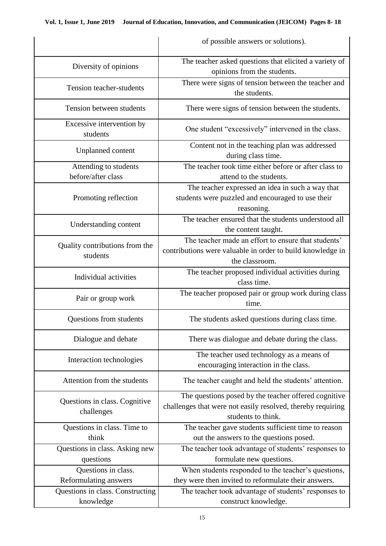|                                                           | of possible answers or solutions).                                                                                                        |
|-----------------------------------------------------------|-------------------------------------------------------------------------------------------------------------------------------------------|
|                                                           | The teacher asked questions that elicited a variety of                                                                                    |
| Diversity of opinions                                     | opinions from the students.                                                                                                               |
| Tension teacher-students                                  | There were signs of tension between the teacher and                                                                                       |
|                                                           | the students.                                                                                                                             |
| Tension between students                                  | There were signs of tension between the students.                                                                                         |
| Excessive intervention by<br>students                     | One student "excessively" intervened in the class.                                                                                        |
| <b>Unplanned</b> content                                  | Content not in the teaching plan was addressed<br>during class time.                                                                      |
| Attending to students                                     | The teacher took time either before or after class to                                                                                     |
| before/after class                                        | attend to the students.                                                                                                                   |
| Promoting reflection                                      | The teacher expressed an idea in such a way that<br>students were puzzled and encouraged to use their<br>reasoning.                       |
| Understanding content                                     | The teacher ensured that the students understood all<br>the content taught.                                                               |
|                                                           | The teacher made an effort to ensure that students'                                                                                       |
| Quality contributions from the<br>students                | contributions were valuable in order to build knowledge in                                                                                |
|                                                           | the classroom.                                                                                                                            |
| Individual activities                                     | The teacher proposed individual activities during<br>class time.                                                                          |
| Pair or group work                                        | The teacher proposed pair or group work during class<br>time.                                                                             |
| Questions from students                                   | The students asked questions during class time.                                                                                           |
| Dialogue and debate                                       | There was dialogue and debate during the class.                                                                                           |
| Interaction technologies                                  | The teacher used technology as a means of<br>encouraging interaction in the class.                                                        |
| Attention from the students                               | The teacher caught and held the students' attention.                                                                                      |
| Questions in class. Cognitive<br>challenges               | The questions posed by the teacher offered cognitive<br>challenges that were not easily resolved, thereby requiring<br>students to think. |
| Questions in class. Time to                               | The teacher gave students sufficient time to reason                                                                                       |
| think                                                     | out the answers to the questions posed.                                                                                                   |
| Questions in class. Asking new                            | The teacher took advantage of students' responses to                                                                                      |
| questions                                                 | formulate new questions.                                                                                                                  |
| Questions in class.                                       | When students responded to the teacher's questions,                                                                                       |
| Reformulating answers<br>Questions in class. Constructing | they were then invited to reformulate their answers.<br>The teacher took advantage of students' responses to                              |
| knowledge                                                 | construct knowledge.                                                                                                                      |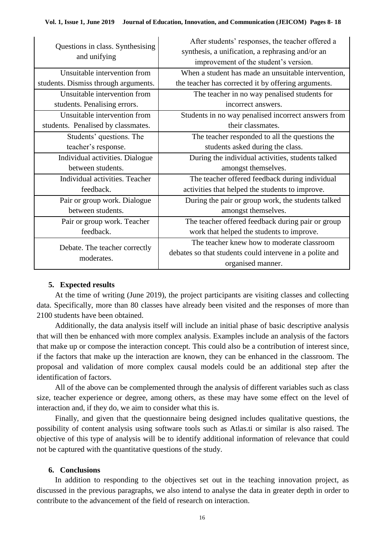| Questions in class. Synthesising<br>and unifying | After students' responses, the teacher offered a<br>synthesis, a unification, a rephrasing and/or an<br>improvement of the student's version. |
|--------------------------------------------------|-----------------------------------------------------------------------------------------------------------------------------------------------|
| Unsuitable intervention from                     | When a student has made an unsuitable intervention,                                                                                           |
| students. Dismiss through arguments.             | the teacher has corrected it by offering arguments.                                                                                           |
| Unsuitable intervention from                     | The teacher in no way penalised students for                                                                                                  |
| students. Penalising errors.                     | incorrect answers.                                                                                                                            |
| Unsuitable intervention from                     | Students in no way penalised incorrect answers from                                                                                           |
| students. Penalised by classmates.               | their classmates.                                                                                                                             |
| Students' questions. The                         | The teacher responded to all the questions the                                                                                                |
| teacher's response.                              | students asked during the class.                                                                                                              |
| Individual activities. Dialogue                  | During the individual activities, students talked                                                                                             |
| between students.                                | amongst themselves.                                                                                                                           |
| Individual activities. Teacher                   | The teacher offered feedback during individual                                                                                                |
| feedback.                                        | activities that helped the students to improve.                                                                                               |
| Pair or group work. Dialogue                     | During the pair or group work, the students talked                                                                                            |
| between students.                                | amongst themselves.                                                                                                                           |
| Pair or group work. Teacher                      | The teacher offered feedback during pair or group                                                                                             |
| feedback.                                        | work that helped the students to improve.                                                                                                     |
| Debate. The teacher correctly<br>moderates.      | The teacher knew how to moderate classroom                                                                                                    |
|                                                  | debates so that students could intervene in a polite and                                                                                      |
|                                                  | organised manner.                                                                                                                             |

# **5. Expected results**

At the time of writing (June 2019), the project participants are visiting classes and collecting data. Specifically, more than 80 classes have already been visited and the responses of more than 2100 students have been obtained.

Additionally, the data analysis itself will include an initial phase of basic descriptive analysis that will then be enhanced with more complex analysis. Examples include an analysis of the factors that make up or compose the interaction concept. This could also be a contribution of interest since, if the factors that make up the interaction are known, they can be enhanced in the classroom. The proposal and validation of more complex causal models could be an additional step after the identification of factors.

All of the above can be complemented through the analysis of different variables such as class size, teacher experience or degree, among others, as these may have some effect on the level of interaction and, if they do, we aim to consider what this is.

Finally, and given that the questionnaire being designed includes qualitative questions, the possibility of content analysis using software tools such as Atlas.ti or similar is also raised. The objective of this type of analysis will be to identify additional information of relevance that could not be captured with the quantitative questions of the study.

# **6. Conclusions**

In addition to responding to the objectives set out in the teaching innovation project, as discussed in the previous paragraphs, we also intend to analyse the data in greater depth in order to contribute to the advancement of the field of research on interaction.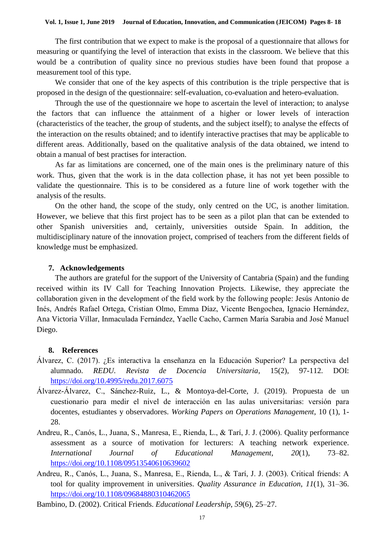The first contribution that we expect to make is the proposal of a questionnaire that allows for measuring or quantifying the level of interaction that exists in the classroom. We believe that this would be a contribution of quality since no previous studies have been found that propose a measurement tool of this type.

We consider that one of the key aspects of this contribution is the triple perspective that is proposed in the design of the questionnaire: self-evaluation, co-evaluation and hetero-evaluation.

Through the use of the questionnaire we hope to ascertain the level of interaction; to analyse the factors that can influence the attainment of a higher or lower levels of interaction (characteristics of the teacher, the group of students, and the subject itself); to analyse the effects of the interaction on the results obtained; and to identify interactive practises that may be applicable to different areas. Additionally, based on the qualitative analysis of the data obtained, we intend to obtain a manual of best practises for interaction.

As far as limitations are concerned, one of the main ones is the preliminary nature of this work. Thus, given that the work is in the data collection phase, it has not yet been possible to validate the questionnaire. This is to be considered as a future line of work together with the analysis of the results.

On the other hand, the scope of the study, only centred on the UC, is another limitation. However, we believe that this first project has to be seen as a pilot plan that can be extended to other Spanish universities and, certainly, universities outside Spain. In addition, the multidisciplinary nature of the innovation project, comprised of teachers from the different fields of knowledge must be emphasized.

#### **7. Acknowledgements**

The authors are grateful for the support of the University of Cantabria (Spain) and the funding received within its IV Call for Teaching Innovation Projects. Likewise, they appreciate the collaboration given in the development of the field work by the following people: Jesús Antonio de Inés, Andrés Rafael Ortega, Cristian Olmo, Emma Díaz, Vicente Bengochea, Ignacio Hernández, Ana Victoria Villar, Inmaculada Fernández, Yaelle Cacho, Carmen María Sarabia and José Manuel Diego.

#### **8. References**

- Álvarez, C. (2017). ¿Es interactiva la enseñanza en la Educación Superior? La perspectiva del alumnado. *REDU. Revista de Docencia Universitaria*, 15(2), 97-112. DOI: <https://doi.org/10.4995/redu.2017.6075>
- Álvarez-Álvarez, C., Sánchez-Ruiz, L., & Montoya-del-Corte, J. (2019). Propuesta de un cuestionario para medir el nivel de interacción en las aulas universitarias: versión para docentes, estudiantes y observadores. *Working Papers on Operations Management*, 10 (1), 1- 28.
- Andreu, R., Canós, L., Juana, S., Manresa, E., Rienda, L., & Tarí, J. J. (2006). Quality performance assessment as a source of motivation for lecturers: A teaching network experience. *International Journal of Educational Management*, *20*(1), 73–82. <https://doi.org/10.1108/09513540610639602>
- Andreu, R., Canós, L., Juana, S., Manresa, E., Rienda, L., & Tarí, J. J. (2003). Critical friends: A tool for quality improvement in universities. *Quality Assurance in Education*, *11*(1), 31–36. <https://doi.org/10.1108/09684880310462065>
- Bambino, D. (2002). Critical Friends. *Educational Leadership*, *59*(6), 25–27.